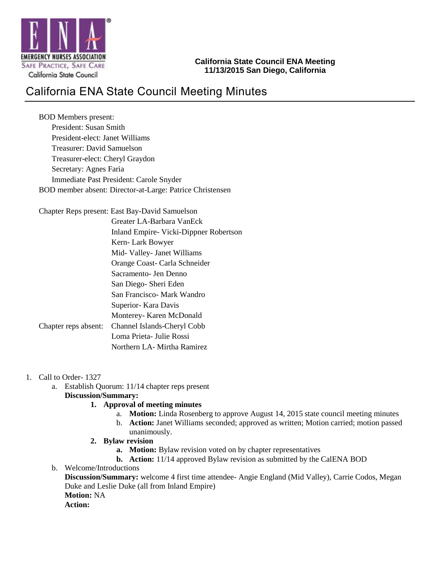

### **California State Council ENA Meeting 11/13/2015 San Diego, California**

# California ENA State Council Meeting Minutes

BOD Members present: President: Susan Smith President-elect: Janet Williams Treasurer: David Samuelson Treasurer-elect: Cheryl Graydon Secretary: Agnes Faria Immediate Past President: Carole Snyder BOD member absent: Director-at-Large: Patrice Christensen

Chapter Reps present: East Bay-David Samuelson

|                      | Greater LA-Barbara VanEck               |
|----------------------|-----------------------------------------|
|                      | Inland Empire - Vicki-Dippner Robertson |
|                      | Kern- Lark Bowyer                       |
|                      | Mid- Valley- Janet Williams             |
|                      | Orange Coast- Carla Schneider           |
|                      | Sacramento- Jen Denno                   |
|                      | San Diego-Sheri Eden                    |
|                      | San Francisco- Mark Wandro              |
|                      | Superior - Kara Davis                   |
|                      | Monterey- Karen McDonald                |
| Chapter reps absent: | Channel Islands-Cheryl Cobb             |
|                      | Loma Prieta- Julie Rossi                |
|                      | Northern LA- Mirtha Ramirez             |
|                      |                                         |

- 1. Call to Order- 1327
	- a. Establish Quorum: 11/14 chapter reps present **Discussion/Summary:**
		- **1. Approval of meeting minutes**
			- a. **Motion:** Linda Rosenberg to approve August 14, 2015 state council meeting minutes
			- b. **Action:** Janet Williams seconded; approved as written; Motion carried; motion passed unanimously.
		- **2. Bylaw revision**
			- **a. Motion:** Bylaw revision voted on by chapter representatives
			- **b. Action:** 11/14 approved Bylaw revision as submitted by the CalENA BOD
	- b. Welcome/Introductions

**Discussion/Summary:** welcome 4 first time attendee- Angie England (Mid Valley), Carrie Codos, Megan Duke and Leslie Duke (all from Inland Empire) **Motion:** NA

**Action:**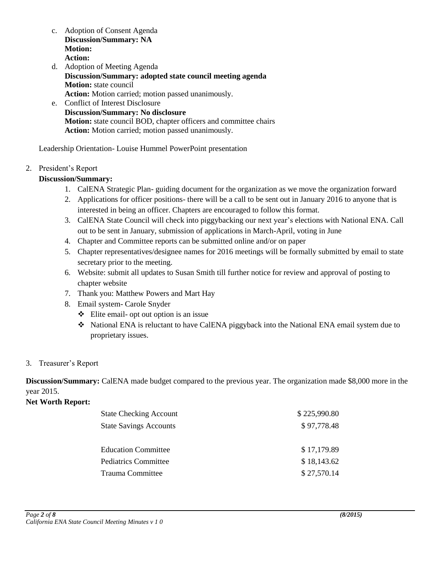- c. Adoption of Consent Agenda **Discussion/Summary: NA Motion: Action:**
- d. Adoption of Meeting Agenda **Discussion/Summary: adopted state council meeting agenda Motion:** state council **Action:** Motion carried; motion passed unanimously.
- e. Conflict of Interest Disclosure **Discussion/Summary: No disclosure Motion:** state council BOD, chapter officers and committee chairs **Action:** Motion carried; motion passed unanimously.

Leadership Orientation- Louise Hummel PowerPoint presentation

### 2. President's Report

### **Discussion/Summary:**

- 1. CalENA Strategic Plan- guiding document for the organization as we move the organization forward
- 2. Applications for officer positions- there will be a call to be sent out in January 2016 to anyone that is interested in being an officer. Chapters are encouraged to follow this format.
- 3. CalENA State Council will check into piggybacking our next year's elections with National ENA. Call out to be sent in January, submission of applications in March-April, voting in June
- 4. Chapter and Committee reports can be submitted online and/or on paper
- 5. Chapter representatives/designee names for 2016 meetings will be formally submitted by email to state secretary prior to the meeting.
- 6. Website: submit all updates to Susan Smith till further notice for review and approval of posting to chapter website
- 7. Thank you: Matthew Powers and Mart Hay
- 8. Email system- Carole Snyder
	- $\div$  Elite email- opt out option is an issue
	- National ENA is reluctant to have CalENA piggyback into the National ENA email system due to proprietary issues.

#### 3. Treasurer's Report

**Discussion/Summary:** CalENA made budget compared to the previous year. The organization made \$8,000 more in the year 2015.

#### **Net Worth Report:**

| <b>State Checking Account</b> | \$225,990.80 |
|-------------------------------|--------------|
| <b>State Savings Accounts</b> | \$97,778.48  |
|                               |              |
| <b>Education Committee</b>    | \$17,179.89  |
| <b>Pediatrics Committee</b>   | \$18,143.62  |
| Trauma Committee              | \$27,570.14  |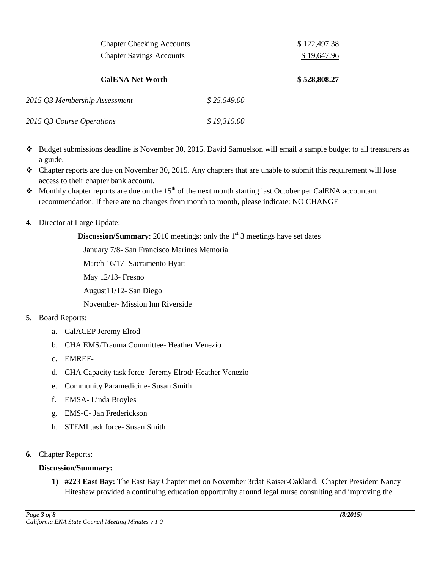| <b>Chapter Checking Accounts</b><br><b>Chapter Savings Accounts</b> |             | \$122,497.38 |
|---------------------------------------------------------------------|-------------|--------------|
|                                                                     |             | \$19,647.96  |
| <b>CalENA Net Worth</b>                                             |             | \$528,808.27 |
| 2015 Q3 Membership Assessment                                       | \$25,549.00 |              |
| 2015 Q3 Course Operations                                           | \$19,315.00 |              |

- Budget submissions deadline is November 30, 2015. David Samuelson will email a sample budget to all treasurers as a guide.
- $\div$  Chapter reports are due on November 30, 2015. Any chapters that are unable to submit this requirement will lose access to their chapter bank account.
- Monthly chapter reports are due on the 15<sup>th</sup> of the next month starting last October per CalENA accountant recommendation. If there are no changes from month to month, please indicate: NO CHANGE

### 4. Director at Large Update:

**Discussion/Summary:** 2016 meetings; only the 1<sup>st</sup> 3 meetings have set dates

January 7/8- San Francisco Marines Memorial

March 16/17- Sacramento Hyatt

May 12/13- Fresno

August11/12- San Diego

November- Mission Inn Riverside

### 5. Board Reports:

- a. CalACEP Jeremy Elrod
- b. CHA EMS/Trauma Committee- Heather Venezio
- c. EMREF-
- d. CHA Capacity task force- Jeremy Elrod/ Heather Venezio
- e. Community Paramedicine- Susan Smith
- f. EMSA- Linda Broyles
- g. EMS-C- Jan Frederickson
- h. STEMI task force- Susan Smith
- **6.** Chapter Reports:

### **Discussion/Summary:**

**1) #223 East Bay:** The East Bay Chapter met on November 3rdat Kaiser-Oakland. Chapter President Nancy Hiteshaw provided a continuing education opportunity around legal nurse consulting and improving the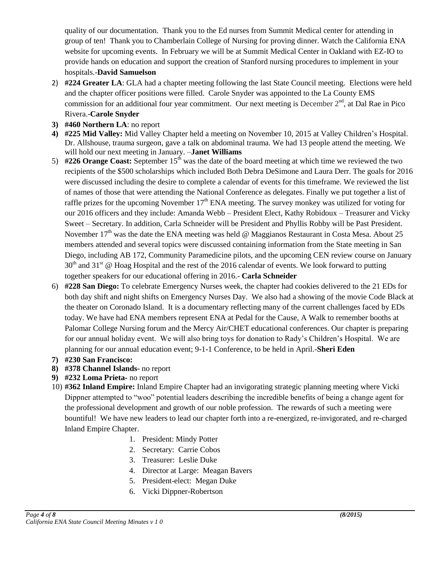quality of our documentation. Thank you to the Ed nurses from Summit Medical center for attending in group of ten! Thank you to Chamberlain College of Nursing for proving dinner. Watch the California ENA website for upcoming events. In February we will be at Summit Medical Center in Oakland with EZ-IO to provide hands on education and support the creation of Stanford nursing procedures to implement in your hospitals.-**David Samuelson**

- 2) **#224 Greater LA**: GLA had a chapter meeting following the last State Council meeting. Elections were held and the chapter officer positions were filled. Carole Snyder was appointed to the La County EMS commission for an additional four year commitment. Our next meeting is December  $2<sup>nd</sup>$ , at Dal Rae in Pico Rivera.-**Carole Snyder**
- **3) #460 Northern LA**: no report
- **4) #225 Mid Valley:** Mid Valley Chapter held a meeting on November 10, 2015 at Valley Children's Hospital. Dr. Allshouse, trauma surgeon, gave a talk on abdominal trauma. We had 13 people attend the meeting. We will hold our next meeting in January. –**Janet Williams**
- 5) #226 Orange Coast: September 15<sup>th</sup> was the date of the board meeting at which time we reviewed the two recipients of the \$500 scholarships which included Both Debra DeSimone and Laura Derr. The goals for 2016 were discussed including the desire to complete a calendar of events for this timeframe. We reviewed the list of names of those that were attending the National Conference as delegates. Finally we put together a list of raffle prizes for the upcoming November  $17<sup>th</sup>$  ENA meeting. The survey monkey was utilized for voting for our 2016 officers and they include: Amanda Webb – President Elect, Kathy Robidoux – Treasurer and Vicky Sweet – Secretary. In addition, Carla Schneider will be President and Phyllis Robby will be Past President. November  $17<sup>th</sup>$  was the date the ENA meeting was held @ Maggianos Restaurant in Costa Mesa. About 25 members attended and several topics were discussed containing information from the State meeting in San Diego, including AB 172, Community Paramedicine pilots, and the upcoming CEN review course on January  $30<sup>th</sup>$  and  $31<sup>st</sup>$  @ Hoag Hospital and the rest of the 2016 calendar of events. We look forward to putting together speakers for our educational offering in 2016.- **Carla Schneider**
- 6) **#228 San Diego:** To celebrate Emergency Nurses week, the chapter had cookies delivered to the 21 EDs for both day shift and night shifts on Emergency Nurses Day. We also had a showing of the movie Code Black at the theater on Coronado Island. It is a documentary reflecting many of the current challenges faced by EDs today. We have had ENA members represent ENA at Pedal for the Cause, A Walk to remember booths at Palomar College Nursing forum and the Mercy Air/CHET educational conferences. Our chapter is preparing for our annual holiday event. We will also bring toys for donation to Rady's Children's Hospital. We are planning for our annual education event; 9-1-1 Conference, to be held in April.-**Sheri Eden**
- **7) #230 San Francisco:**
- **8) #378 Channel Islands-** no report
- **9) #232 Loma Prieta-** no report
- 10) **#362 Inland Empire:** Inland Empire Chapter had an invigorating strategic planning meeting where Vicki Dippner attempted to "woo" potential leaders describing the incredible benefits of being a change agent for the professional development and growth of our noble profession. The rewards of such a meeting were bountiful! We have new leaders to lead our chapter forth into a re-energized, re-invigorated, and re-charged Inland Empire Chapter.
	- 1. President: Mindy Potter
	- 2. Secretary: Carrie Cobos
	- 3. Treasurer: Leslie Duke
	- 4. Director at Large: Meagan Bavers
	- 5. President-elect: Megan Duke
	- 6. Vicki Dippner-Robertson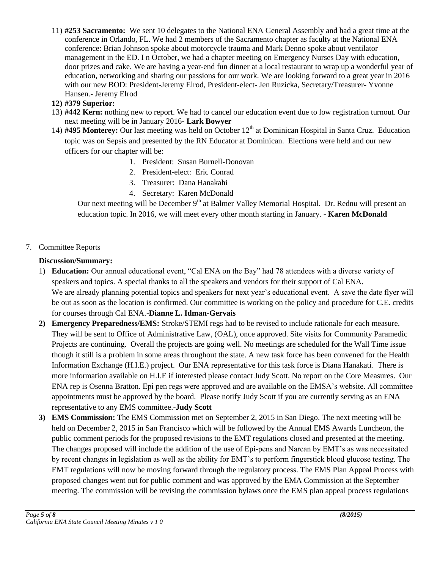11) **#253 Sacramento:** We sent 10 delegates to the National ENA General Assembly and had a great time at the conference in Orlando, FL. We had 2 members of the Sacramento chapter as faculty at the National ENA conference: Brian Johnson spoke about motorcycle trauma and Mark Denno spoke about ventilator management in the ED. I n October, we had a chapter meeting on Emergency Nurses Day with education, door prizes and cake. We are having a year-end fun dinner at a local restaurant to wrap up a wonderful year of education, networking and sharing our passions for our work. We are looking forward to a great year in 2016 with our new BOD: President-Jeremy Elrod, President-elect- Jen Ruzicka, Secretary/Treasurer- Yvonne Hansen.- Jeremy Elrod

### **12) #379 Superior:**

- 13) **#442 Kern:** nothing new to report. We had to cancel our education event due to low registration turnout. Our next meeting will be in January 2016**- Lark Bowyer**
- 14) #495 Monterey: Our last meeting was held on October 12<sup>th</sup> at Dominican Hospital in Santa Cruz. Education topic was on Sepsis and presented by the RN Educator at Dominican. Elections were held and our new officers for our chapter will be:
	- 1. President: Susan Burnell-Donovan
	- 2. President-elect: Eric Conrad
	- 3. Treasurer: Dana Hanakahi
	- 4. Secretary: Karen McDonald

Our next meeting will be December 9<sup>th</sup> at Balmer Valley Memorial Hospital. Dr. Rednu will present an education topic. In 2016, we will meet every other month starting in January. - **Karen McDonald**

### 7. Committee Reports

### **Discussion/Summary:**

- 1) **Education:** Our annual educational event, "Cal ENA on the Bay" had 78 attendees with a diverse variety of speakers and topics. A special thanks to all the speakers and vendors for their support of Cal ENA. We are already planning potential topics and speakers for next year's educational event. A save the date flyer will be out as soon as the location is confirmed. Our committee is working on the policy and procedure for C.E. credits for courses through Cal ENA.-**Dianne L. Idman-Gervais**
- **2) Emergency Preparedness/EMS:** Stroke/STEMI regs had to be revised to include rationale for each measure. They will be sent to Office of Administrative Law, (OAL), once approved. Site visits for Community Paramedic Projects are continuing. Overall the projects are going well. No meetings are scheduled for the Wall Time issue though it still is a problem in some areas throughout the state. A new task force has been convened for the Health Information Exchange (H.I.E.) project. Our ENA representative for this task force is Diana Hanakati. There is more information available on H.I.E if interested please contact Judy Scott. No report on the Core Measures. Our ENA rep is Osenna Bratton. Epi pen regs were approved and are available on the EMSA's website. All committee appointments must be approved by the board. Please notify Judy Scott if you are currently serving as an ENA representative to any EMS committee.-**Judy Scott**
- **3) EMS Commission:** The EMS Commission met on September 2, 2015 in San Diego. The next meeting will be held on December 2, 2015 in San Francisco which will be followed by the Annual EMS Awards Luncheon, the public comment periods for the proposed revisions to the EMT regulations closed and presented at the meeting. The changes proposed will include the addition of the use of Epi-pens and Narcan by EMT's as was necessitated by recent changes in legislation as well as the ability for EMT's to perform fingerstick blood glucose testing. The EMT regulations will now be moving forward through the regulatory process. The EMS Plan Appeal Process with proposed changes went out for public comment and was approved by the EMA Commission at the September meeting. The commission will be revising the commission bylaws once the EMS plan appeal process regulations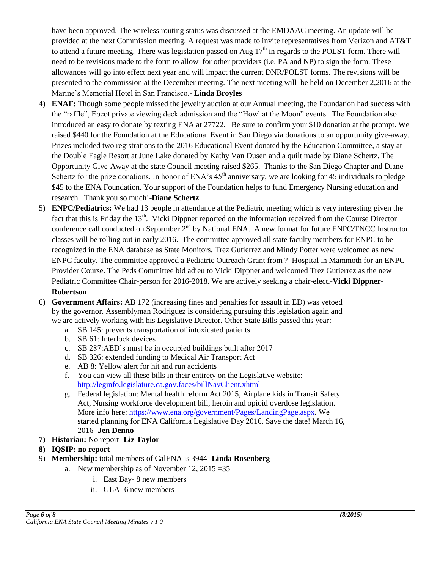have been approved. The wireless routing status was discussed at the EMDAAC meeting. An update will be provided at the next Commission meeting. A request was made to invite representatives from Verizon and AT&T to attend a future meeting. There was legislation passed on Aug  $17<sup>th</sup>$  in regards to the POLST form. There will need to be revisions made to the form to allow for other providers (i.e. PA and NP) to sign the form. These allowances will go into effect next year and will impact the current DNR/POLST forms. The revisions will be presented to the commission at the December meeting. The next meeting will be held on December 2,2016 at the Marine's Memorial Hotel in San Francisco.- **Linda Broyles**

- 4) **ENAF:** Though some people missed the jewelry auction at our Annual meeting, the Foundation had success with the "raffle", Epcot private viewing deck admission and the "Howl at the Moon" events. The Foundation also introduced an easy to donate by texting ENA at 27722. Be sure to confirm your \$10 donation at the prompt. We raised \$440 for the Foundation at the Educational Event in San Diego via donations to an opportunity give-away. Prizes included two registrations to the 2016 Educational Event donated by the Education Committee, a stay at the Double Eagle Resort at June Lake donated by Kathy Van Dusen and a quilt made by Diane Schertz. The Opportunity Give-Away at the state Council meeting raised \$265. Thanks to the San Diego Chapter and Diane Schertz for the prize donations. In honor of ENA's  $45<sup>th</sup>$  anniversary, we are looking for 45 individuals to pledge \$45 to the ENA Foundation. Your support of the Foundation helps to fund Emergency Nursing education and research. Thank you so much!-**Diane Schertz**
- 5) **ENPC/Pediatrics:** We had 13 people in attendance at the Pediatric meeting which is very interesting given the fact that this is Friday the 13<sup>th</sup>. Vicki Dippner reported on the information received from the Course Director conference call conducted on September 2<sup>nd</sup> by National ENA. A new format for future ENPC/TNCC Instructor classes will be rolling out in early 2016. The committee approved all state faculty members for ENPC to be recognized in the ENA database as State Monitors. Trez Gutierrez and Mindy Potter were welcomed as new ENPC faculty. The committee approved a Pediatric Outreach Grant from ? Hospital in Mammoth for an ENPC Provider Course. The Peds Committee bid adieu to Vicki Dippner and welcomed Trez Gutierrez as the new Pediatric Committee Chair-person for 2016-2018. We are actively seeking a chair-elect.-**Vicki Dippner-Robertson**
- 6) **Government Affairs:** AB 172 (increasing fines and penalties for assault in ED) was vetoed by the governor. Assemblyman Rodriguez is considering pursuing this legislation again and we are actively working with his Legislative Director. Other State Bills passed this year:
	- a. SB 145: prevents transportation of intoxicated patients
	- b. SB 61: Interlock devices
	- c. SB 287:AED's must be in occupied buildings built after 2017
	- d. SB 326: extended funding to Medical Air Transport Act
	- e. AB 8: Yellow alert for hit and run accidents
	- f. You can view all these bills in their entirety on the Legislative website: <http://leginfo.legislature.ca.gov.faces/billNavClient.xhtml>
	- g. Federal legislation: Mental health reform Act 2015, Airplane kids in Transit Safety Act, Nursing workforce development bill, heroin and opioid overdose legislation. More info here: [https://www.ena.org/government/Pages/LandingPage.aspx.](https://www.ena.org/government/Pages/LandingPage.aspx) We started planning for ENA California Legislative Day 2016. Save the date! March 16, 2016- **Jen Denno**
- **7) Historian:** No report**- Liz Taylor**
- **8) IQSIP: no report**
- 9) **Membership:** total members of CalENA is 3944- **Linda Rosenberg**
	- a. New membership as of November 12,  $2015 = 35$ 
		- i. East Bay- 8 new members
		- ii. GLA- 6 new members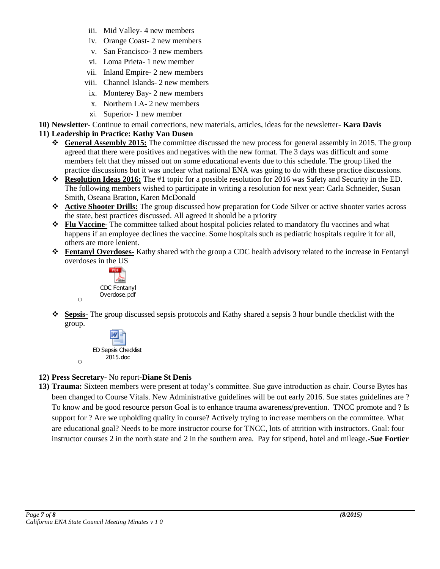- iii. Mid Valley- 4 new members
- iv. Orange Coast- 2 new members
- v. San Francisco- 3 new members
- vi. Loma Prieta- 1 new member
- vii. Inland Empire- 2 new members
- viii. Channel Islands- 2 new members
- ix. Monterey Bay- 2 new members
- x. Northern LA- 2 new members
- xi. Superior- 1 new member
- **10) Newsletter-** Continue to email corrections, new materials, articles, ideas for the newsletter**- Kara Davis**

### **11) Leadership in Practice: Kathy Van Dusen**

- **General Assembly 2015:** The committee discussed the new process for general assembly in 2015. The group agreed that there were positives and negatives with the new format. The 3 days was difficult and some members felt that they missed out on some educational events due to this schedule. The group liked the practice discussions but it was unclear what national ENA was going to do with these practice discussions.
- **Resolution Ideas 2016:** The #1 topic for a possible resolution for 2016 was Safety and Security in the ED. The following members wished to participate in writing a resolution for next year: Carla Schneider, Susan Smith, Oseana Bratton, Karen McDonald
- **Active Shooter Drills:** The group discussed how preparation for Code Silver or active shooter varies across the state, best practices discussed. All agreed it should be a priority
- **Flu Vaccine-** The committee talked about hospital policies related to mandatory flu vaccines and what happens if an employee declines the vaccine. Some hospitals such as pediatric hospitals require it for all, others are more lenient.
- **Fentanyl Overdoses-** Kathy shared with the group a CDC health advisory related to the increase in Fentanyl overdoses in the US



o

o

 **Sepsis-** The group discussed sepsis protocols and Kathy shared a sepsis 3 hour bundle checklist with the group.



### **12) Press Secretary-** No report**-Diane St Denis**

**13) Trauma:** Sixteen members were present at today's committee. Sue gave introduction as chair. Course Bytes has been changed to Course Vitals. New Administrative guidelines will be out early 2016. Sue states guidelines are ? To know and be good resource person Goal is to enhance trauma awareness/prevention. TNCC promote and ? Is support for ? Are we upholding quality in course? Actively trying to increase members on the committee. What are educational goal? Needs to be more instructor course for TNCC, lots of attrition with instructors. Goal: four instructor courses 2 in the north state and 2 in the southern area. Pay for stipend, hotel and mileage.-**Sue Fortier**